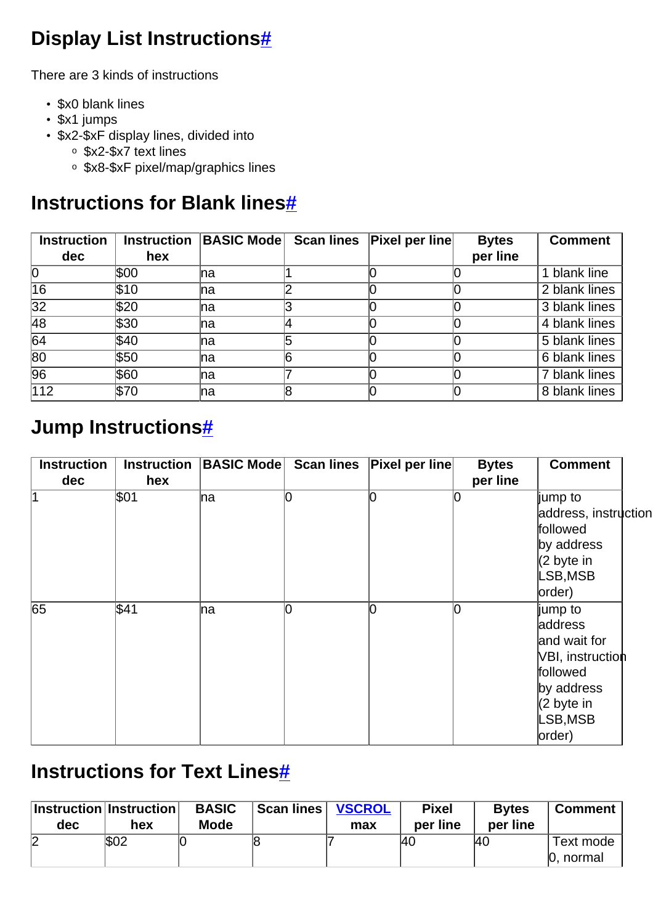## **Display List Instruction[s#](http://[fd00::119]:8080/wiki/#section-Display_list_instruction_table-DisplayListInstructions)**

There are 3 kinds of instructions

- \$x0 blank lines
- \$x1 jumps
- \$x2-\$xF display lines, divided into
	- <sup>o</sup> \$x2-\$x7 text lines
	- <sup>o</sup> \$x8-\$xF pixel/map/graphics lines

#### **Instructions for Blank line[s#](http://[fd00::119]:8080/wiki/#section-Display_list_instruction_table-InstructionsForBlankLines)**

| <b>Instruction</b> | <b>Instruction</b> | <b>BASIC Mode Scan lines</b> |    | <b>Pixel per line</b> | <b>Bytes</b> | <b>Comment</b> |
|--------------------|--------------------|------------------------------|----|-----------------------|--------------|----------------|
| dec                | hex                |                              |    |                       | per line     |                |
| 10                 | \$00               | Ina                          |    |                       |              | 1 blank line   |
| 16                 | <b>\\$10</b>       | Ina                          |    |                       |              | 2 blank lines  |
| $\overline{32}$    | \$20               | Ina                          |    |                       |              | 3 blank lines  |
| 48                 | \$30               | Ina                          |    |                       |              | 4 blank lines  |
| 64                 | ∖\$40              | Ina                          |    |                       |              | 5 blank lines  |
| $\overline{80}$    | \$50               | Ina                          | 16 |                       |              | 6 blank lines  |
| $\overline{96}$    | \$60               | Ina                          |    |                       |              | 7 blank lines  |
| $\overline{112}$   | \$70               | Ina                          |    |                       |              | 8 blank lines  |

#### **Jump Instruction[s#](http://[fd00::119]:8080/wiki/#section-Display_list_instruction_table-JumpInstructions)**

| <b>Instruction</b> | <b>Instruction</b> | <b>BASIC Mode Scan lines</b> |   | <b>Pixel per line</b> | <b>Bytes</b> | <b>Comment</b>        |
|--------------------|--------------------|------------------------------|---|-----------------------|--------------|-----------------------|
| dec                | hex                |                              |   |                       | per line     |                       |
| 1                  | \$01               | na                           | 0 |                       |              | ∥jump to              |
|                    |                    |                              |   |                       |              | address, instruction  |
|                    |                    |                              |   |                       |              | followed              |
|                    |                    |                              |   |                       |              | by address            |
|                    |                    |                              |   |                       |              | $(2 \text{ byte in})$ |
|                    |                    |                              |   |                       |              | LSB,MSB               |
|                    |                    |                              |   |                       |              | order)                |
| 65                 | \$41               | na                           | 0 |                       |              | jump to               |
|                    |                    |                              |   |                       |              | address               |
|                    |                    |                              |   |                       |              | and wait for          |
|                    |                    |                              |   |                       |              | VBI, instruction      |
|                    |                    |                              |   |                       |              | followed              |
|                    |                    |                              |   |                       |              | by address            |
|                    |                    |                              |   |                       |              | $(2 \text{ byte in})$ |
|                    |                    |                              |   |                       |              | LSB,MSB               |
|                    |                    |                              |   |                       |              | order)                |

#### **Instructions for Text Line[s#](http://[fd00::119]:8080/wiki/#section-Display_list_instruction_table-InstructionsForTextLines)**

| $ $ Instruction $ $ Instruction $ $<br>dec | hex  | <b>BASIC</b><br><b>Mode</b> | Scan lines | <b>VSCROL</b><br>max | <b>Pixel</b><br>per line | <b>Bytes</b><br>per line | <b>Comment</b>         |
|--------------------------------------------|------|-----------------------------|------------|----------------------|--------------------------|--------------------------|------------------------|
| ∩<br>↙                                     | \$02 |                             |            |                      | <b>40</b>                | <b>40</b>                | Text mode<br>0, normal |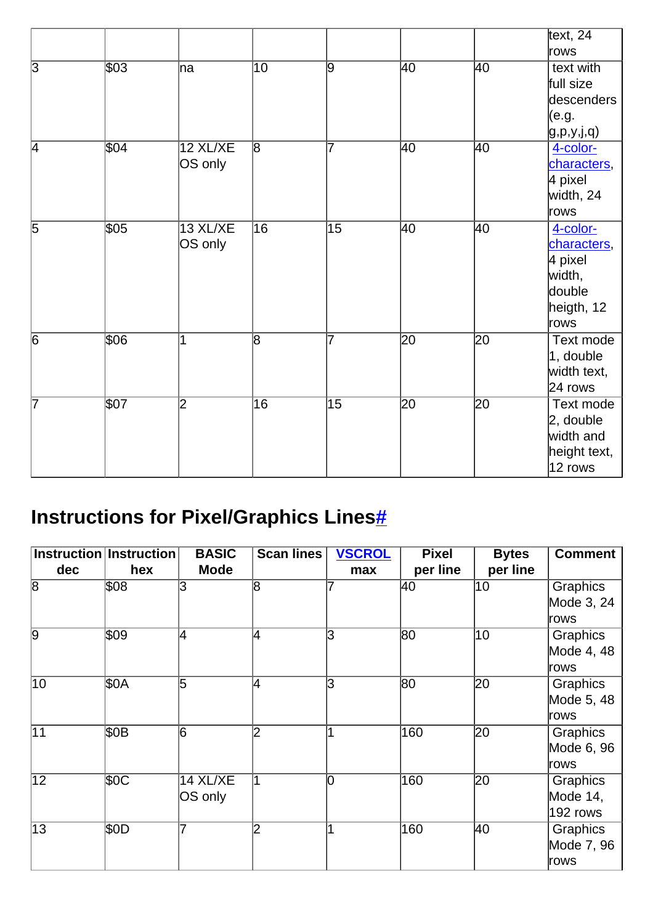|                |                  |                     |                 |                 |                 |                 | text, $24$<br>rows                                                           |
|----------------|------------------|---------------------|-----------------|-----------------|-----------------|-----------------|------------------------------------------------------------------------------|
| $\overline{3}$ | \$03             | ha                  | $\overline{10}$ | $\overline{9}$  | $ 40\rangle$    | 40              | text with<br>full size<br>descenders<br>(e.g.<br>g, p, y, j, q               |
| $\overline{4}$ | $\overline{$04}$ | 12 XL/XE<br>OS only | $\overline{8}$  | 7               | 40              | 40              | 4-color-<br>characters,<br>4 pixel<br>width, 24<br>rows                      |
| $\overline{5}$ | \$05             | 13 XL/XE<br>OS only | $\overline{16}$ | $\overline{15}$ | 40              | 40              | 4-color-<br>characters,<br>4 pixel<br>width,<br>double<br>heigth, 12<br>rows |
| $\overline{6}$ | \$06             | 1                   | $\overline{8}$  | 7               | $\overline{20}$ | $\overline{20}$ | Text mode<br>$ 1,$ double<br>width text,<br>$24$ rows                        |
| 7              | \$07             | 2                   | 16              | 15              | $\overline{20}$ | 20              | Text mode<br>$ 2,$ double<br>width and<br>height text,<br>$ 12$ rows         |

# **Instructions for Pixel/Graphics Line[s#](http://[fd00::119]:8080/wiki/#section-Display_list_instruction_table-InstructionsForPixelGraphicsLines)**

|                 | Instruction Instruction | <b>BASIC</b> | <b>Scan lines</b>       | <b>VSCROL</b> | <b>Pixel</b> | <b>Bytes</b> | <b>Comment</b>  |
|-----------------|-------------------------|--------------|-------------------------|---------------|--------------|--------------|-----------------|
| dec             | hex                     | <b>Mode</b>  |                         | max           | per line     | per line     |                 |
| $\overline{8}$  | \$08                    | З            | $\overline{8}$          |               | 40           | 10           | <b>Graphics</b> |
|                 |                         |              |                         |               |              |              | Mode 3, 24      |
|                 |                         |              |                         |               |              |              | ∣rows           |
| 9               | \$09                    | 4            | 4                       | lЗ            | 80           | 10           | <b>Graphics</b> |
|                 |                         |              |                         |               |              |              | Mode 4, 48      |
|                 |                         |              |                         |               |              |              | rows            |
| 10              | \$0A                    | 5            | $\overline{\mathsf{4}}$ | 3             | 80           | 20           | Graphics        |
|                 |                         |              |                         |               |              |              | Mode 5, 48      |
|                 |                         |              |                         |               |              |              | ∣rows           |
| $\overline{11}$ | \$OB                    | 6            | $\overline{2}$          |               | 160          | 20           | <b>Graphics</b> |
|                 |                         |              |                         |               |              |              | Mode 6, 96      |
|                 |                         |              |                         |               |              |              | rows            |
| $\overline{12}$ | \$0C                    | 14 XL/XE     |                         | lO            | 160          | 20           | Graphics        |
|                 |                         | OS only      |                         |               |              |              | Mode 14,        |
|                 |                         |              |                         |               |              |              | 192 rows        |
| 13              | \$0D                    |              | 2                       |               | 160          | 40           | Graphics        |
|                 |                         |              |                         |               |              |              | Mode 7, 96      |
|                 |                         |              |                         |               |              |              | rows            |